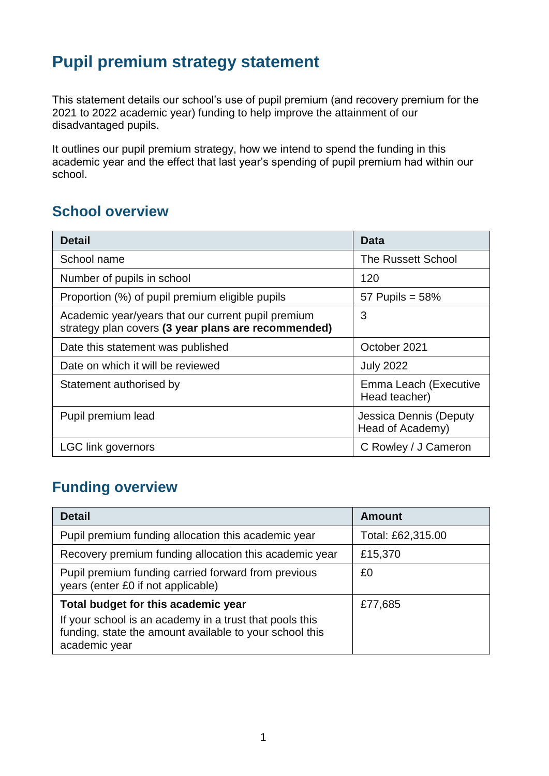## **Pupil premium strategy statement**

This statement details our school's use of pupil premium (and recovery premium for the 2021 to 2022 academic year) funding to help improve the attainment of our disadvantaged pupils.

It outlines our pupil premium strategy, how we intend to spend the funding in this academic year and the effect that last year's spending of pupil premium had within our school.

## **School overview**

| <b>Detail</b>                                                                                             | Data                                       |
|-----------------------------------------------------------------------------------------------------------|--------------------------------------------|
| School name                                                                                               | <b>The Russett School</b>                  |
| Number of pupils in school                                                                                | 120                                        |
| Proportion (%) of pupil premium eligible pupils                                                           | 57 Pupils = $58\%$                         |
| Academic year/years that our current pupil premium<br>strategy plan covers (3 year plans are recommended) | 3                                          |
| Date this statement was published                                                                         | October 2021                               |
| Date on which it will be reviewed                                                                         | <b>July 2022</b>                           |
| Statement authorised by                                                                                   | Emma Leach (Executive<br>Head teacher)     |
| Pupil premium lead                                                                                        | Jessica Dennis (Deputy<br>Head of Academy) |
| <b>LGC link governors</b>                                                                                 | C Rowley / J Cameron                       |

## **Funding overview**

| <b>Detail</b>                                                                                                                                                              | <b>Amount</b>     |
|----------------------------------------------------------------------------------------------------------------------------------------------------------------------------|-------------------|
| Pupil premium funding allocation this academic year                                                                                                                        | Total: £62,315.00 |
| Recovery premium funding allocation this academic year                                                                                                                     | £15,370           |
| Pupil premium funding carried forward from previous<br>years (enter £0 if not applicable)                                                                                  | £0                |
| Total budget for this academic year<br>If your school is an academy in a trust that pools this<br>funding, state the amount available to your school this<br>academic year | £77,685           |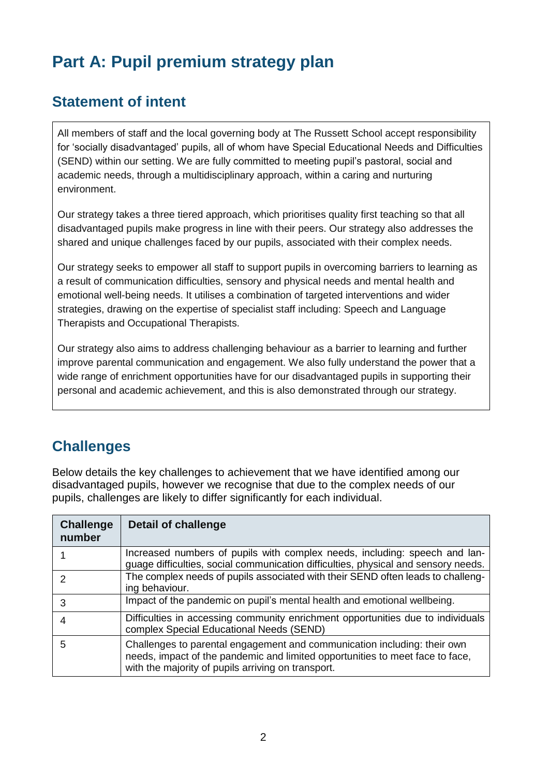# **Part A: Pupil premium strategy plan**

## **Statement of intent**

All members of staff and the local governing body at The Russett School accept responsibility for 'socially disadvantaged' pupils, all of whom have Special Educational Needs and Difficulties (SEND) within our setting. We are fully committed to meeting pupil's pastoral, social and academic needs, through a multidisciplinary approach, within a caring and nurturing environment.

Our strategy takes a three tiered approach, which prioritises quality first teaching so that all disadvantaged pupils make progress in line with their peers. Our strategy also addresses the shared and unique challenges faced by our pupils, associated with their complex needs.

Our strategy seeks to empower all staff to support pupils in overcoming barriers to learning as a result of communication difficulties, sensory and physical needs and mental health and emotional well-being needs. It utilises a combination of targeted interventions and wider strategies, drawing on the expertise of specialist staff including: Speech and Language Therapists and Occupational Therapists.

Our strategy also aims to address challenging behaviour as a barrier to learning and further improve parental communication and engagement. We also fully understand the power that a wide range of enrichment opportunities have for our disadvantaged pupils in supporting their personal and academic achievement, and this is also demonstrated through our strategy.

## **Challenges**

Below details the key challenges to achievement that we have identified among our disadvantaged pupils, however we recognise that due to the complex needs of our pupils, challenges are likely to differ significantly for each individual.

| <b>Challenge</b><br>number | <b>Detail of challenge</b>                                                                                                                                                                                      |
|----------------------------|-----------------------------------------------------------------------------------------------------------------------------------------------------------------------------------------------------------------|
|                            | Increased numbers of pupils with complex needs, including: speech and lan-<br>guage difficulties, social communication difficulties, physical and sensory needs.                                                |
| 2                          | The complex needs of pupils associated with their SEND often leads to challeng-<br>ing behaviour.                                                                                                               |
| 3                          | Impact of the pandemic on pupil's mental health and emotional wellbeing.                                                                                                                                        |
| 4                          | Difficulties in accessing community enrichment opportunities due to individuals<br>complex Special Educational Needs (SEND)                                                                                     |
| 5                          | Challenges to parental engagement and communication including: their own<br>needs, impact of the pandemic and limited opportunities to meet face to face,<br>with the majority of pupils arriving on transport. |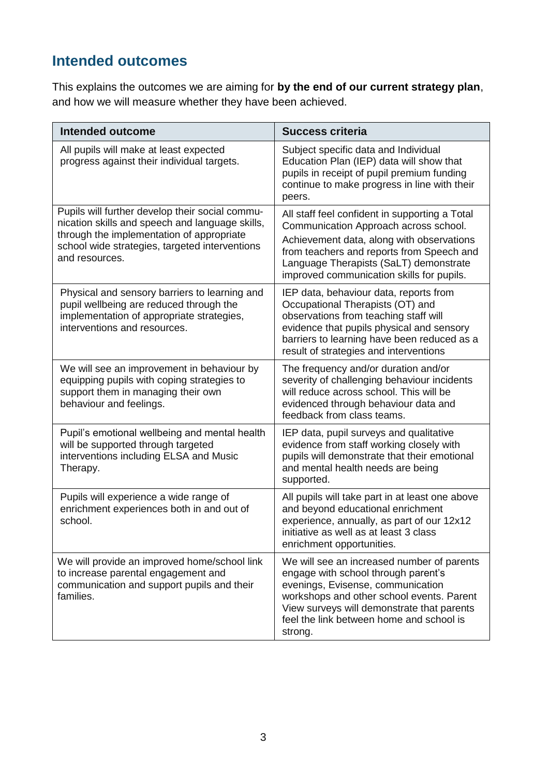## **Intended outcomes**

This explains the outcomes we are aiming for **by the end of our current strategy plan**, and how we will measure whether they have been achieved.

| <b>Intended outcome</b>                                                                                                                                                                                             | <b>Success criteria</b>                                                                                                                                                                                                                                                  |
|---------------------------------------------------------------------------------------------------------------------------------------------------------------------------------------------------------------------|--------------------------------------------------------------------------------------------------------------------------------------------------------------------------------------------------------------------------------------------------------------------------|
| All pupils will make at least expected<br>progress against their individual targets.                                                                                                                                | Subject specific data and Individual<br>Education Plan (IEP) data will show that<br>pupils in receipt of pupil premium funding<br>continue to make progress in line with their<br>peers.                                                                                 |
| Pupils will further develop their social commu-<br>nication skills and speech and language skills,<br>through the implementation of appropriate<br>school wide strategies, targeted interventions<br>and resources. | All staff feel confident in supporting a Total<br>Communication Approach across school.<br>Achievement data, along with observations<br>from teachers and reports from Speech and<br>Language Therapists (SaLT) demonstrate<br>improved communication skills for pupils. |
| Physical and sensory barriers to learning and<br>pupil wellbeing are reduced through the<br>implementation of appropriate strategies,<br>interventions and resources.                                               | IEP data, behaviour data, reports from<br>Occupational Therapists (OT) and<br>observations from teaching staff will<br>evidence that pupils physical and sensory<br>barriers to learning have been reduced as a<br>result of strategies and interventions                |
| We will see an improvement in behaviour by<br>equipping pupils with coping strategies to<br>support them in managing their own<br>behaviour and feelings.                                                           | The frequency and/or duration and/or<br>severity of challenging behaviour incidents<br>will reduce across school. This will be<br>evidenced through behaviour data and<br>feedback from class teams.                                                                     |
| Pupil's emotional wellbeing and mental health<br>will be supported through targeted<br>interventions including ELSA and Music<br>Therapy.                                                                           | IEP data, pupil surveys and qualitative<br>evidence from staff working closely with<br>pupils will demonstrate that their emotional<br>and mental health needs are being<br>supported.                                                                                   |
| Pupils will experience a wide range of<br>enrichment experiences both in and out of<br>school.                                                                                                                      | All pupils will take part in at least one above<br>and beyond educational enrichment<br>experience, annually, as part of our 12x12<br>initiative as well as at least 3 class<br>enrichment opportunities.                                                                |
| We will provide an improved home/school link<br>to increase parental engagement and<br>communication and support pupils and their<br>families.                                                                      | We will see an increased number of parents<br>engage with school through parent's<br>evenings, Evisense, communication<br>workshops and other school events. Parent<br>View surveys will demonstrate that parents<br>feel the link between home and school is<br>strong. |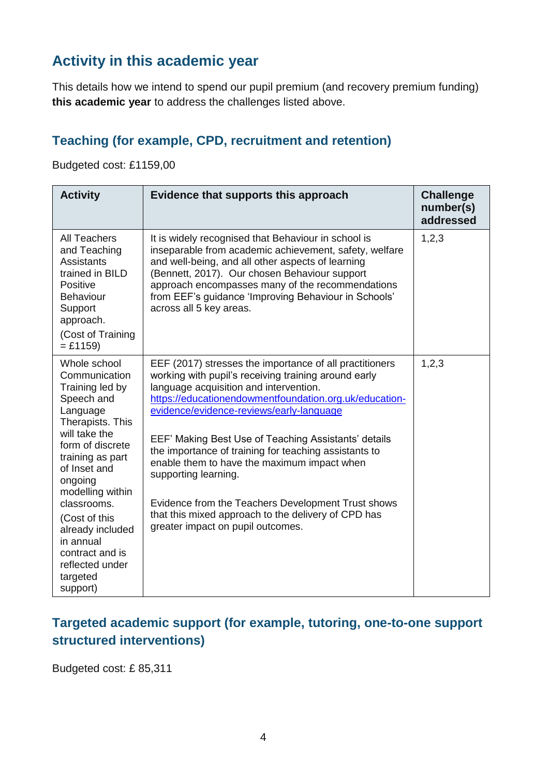## **Activity in this academic year**

This details how we intend to spend our pupil premium (and recovery premium funding) **this academic year** to address the challenges listed above.

### **Teaching (for example, CPD, recruitment and retention)**

Budgeted cost: £1159,00

| <b>Activity</b>                                                                                                                                                                                                                                                                                                                       | Evidence that supports this approach                                                                                                                                                                                                                                                                                                                                                                                                                                                                                                                                                                      | <b>Challenge</b><br>number(s)<br>addressed |
|---------------------------------------------------------------------------------------------------------------------------------------------------------------------------------------------------------------------------------------------------------------------------------------------------------------------------------------|-----------------------------------------------------------------------------------------------------------------------------------------------------------------------------------------------------------------------------------------------------------------------------------------------------------------------------------------------------------------------------------------------------------------------------------------------------------------------------------------------------------------------------------------------------------------------------------------------------------|--------------------------------------------|
| <b>All Teachers</b><br>and Teaching<br><b>Assistants</b><br>trained in BILD<br>Positive<br><b>Behaviour</b><br>Support<br>approach.<br>(Cost of Training<br>$=$ £1159)                                                                                                                                                                | It is widely recognised that Behaviour in school is<br>inseparable from academic achievement, safety, welfare<br>and well-being, and all other aspects of learning<br>(Bennett, 2017). Our chosen Behaviour support<br>approach encompasses many of the recommendations<br>from EEF's guidance 'Improving Behaviour in Schools'<br>across all 5 key areas.                                                                                                                                                                                                                                                | 1,2,3                                      |
| Whole school<br>Communication<br>Training led by<br>Speech and<br>Language<br>Therapists. This<br>will take the<br>form of discrete<br>training as part<br>of Inset and<br>ongoing<br>modelling within<br>classrooms.<br>(Cost of this<br>already included<br>in annual<br>contract and is<br>reflected under<br>targeted<br>support) | EEF (2017) stresses the importance of all practitioners<br>working with pupil's receiving training around early<br>language acquisition and intervention.<br>https://educationendowmentfoundation.org.uk/education-<br>evidence/evidence-reviews/early-language<br>EEF' Making Best Use of Teaching Assistants' details<br>the importance of training for teaching assistants to<br>enable them to have the maximum impact when<br>supporting learning.<br>Evidence from the Teachers Development Trust shows<br>that this mixed approach to the delivery of CPD has<br>greater impact on pupil outcomes. | 1, 2, 3                                    |

### **Targeted academic support (for example, tutoring, one-to-one support structured interventions)**

Budgeted cost: £ 85,311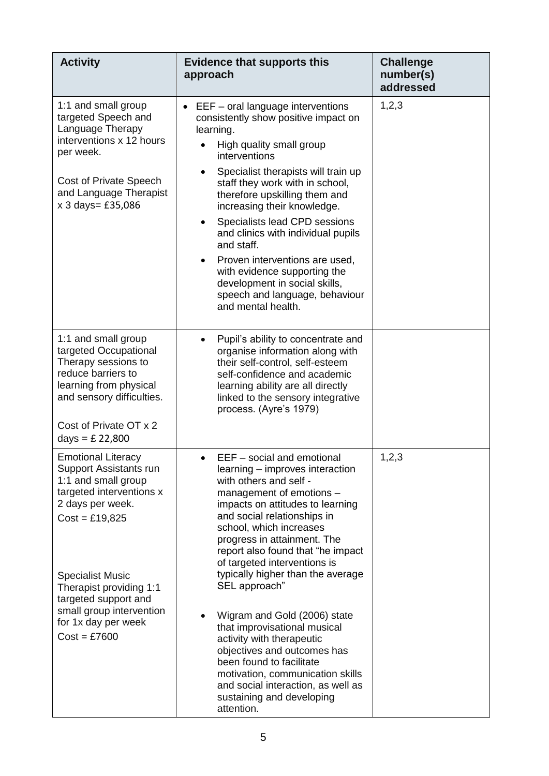| <b>Activity</b>                                                                                                                                                                                                                                                                                   | <b>Evidence that supports this</b><br>approach                                                                                                                                                                                                                                                                                                                                                                                                                                                                                                                                                                                                           | <b>Challenge</b><br>number(s)<br>addressed |
|---------------------------------------------------------------------------------------------------------------------------------------------------------------------------------------------------------------------------------------------------------------------------------------------------|----------------------------------------------------------------------------------------------------------------------------------------------------------------------------------------------------------------------------------------------------------------------------------------------------------------------------------------------------------------------------------------------------------------------------------------------------------------------------------------------------------------------------------------------------------------------------------------------------------------------------------------------------------|--------------------------------------------|
| 1:1 and small group<br>targeted Speech and<br>Language Therapy<br>interventions x 12 hours<br>per week.<br><b>Cost of Private Speech</b><br>and Language Therapist<br>x 3 days= £35,086                                                                                                           | EEF - oral language interventions<br>consistently show positive impact on<br>learning.<br>High quality small group<br>interventions<br>Specialist therapists will train up<br>staff they work with in school,<br>therefore upskilling them and<br>increasing their knowledge.<br>Specialists lead CPD sessions<br>and clinics with individual pupils<br>and staff.<br>Proven interventions are used,<br>with evidence supporting the<br>development in social skills,<br>speech and language, behaviour<br>and mental health.                                                                                                                            | 1,2,3                                      |
| 1:1 and small group<br>targeted Occupational<br>Therapy sessions to<br>reduce barriers to<br>learning from physical<br>and sensory difficulties.<br>Cost of Private OT x 2<br>days = $£ 22,800$                                                                                                   | Pupil's ability to concentrate and<br>organise information along with<br>their self-control, self-esteem<br>self-confidence and academic<br>learning ability are all directly<br>linked to the sensory integrative<br>process. (Ayre's 1979)                                                                                                                                                                                                                                                                                                                                                                                                             |                                            |
| <b>Emotional Literacy</b><br>Support Assistants run<br>1:1 and small group<br>targeted interventions x<br>2 days per week.<br>$Cost = £19,825$<br><b>Specialist Music</b><br>Therapist providing 1:1<br>targeted support and<br>small group intervention<br>for 1x day per week<br>$Cost = £7600$ | EEF - social and emotional<br>learning – improves interaction<br>with others and self -<br>management of emotions -<br>impacts on attitudes to learning<br>and social relationships in<br>school, which increases<br>progress in attainment. The<br>report also found that "he impact<br>of targeted interventions is<br>typically higher than the average<br>SEL approach"<br>Wigram and Gold (2006) state<br>that improvisational musical<br>activity with therapeutic<br>objectives and outcomes has<br>been found to facilitate<br>motivation, communication skills<br>and social interaction, as well as<br>sustaining and developing<br>attention. | 1,2,3                                      |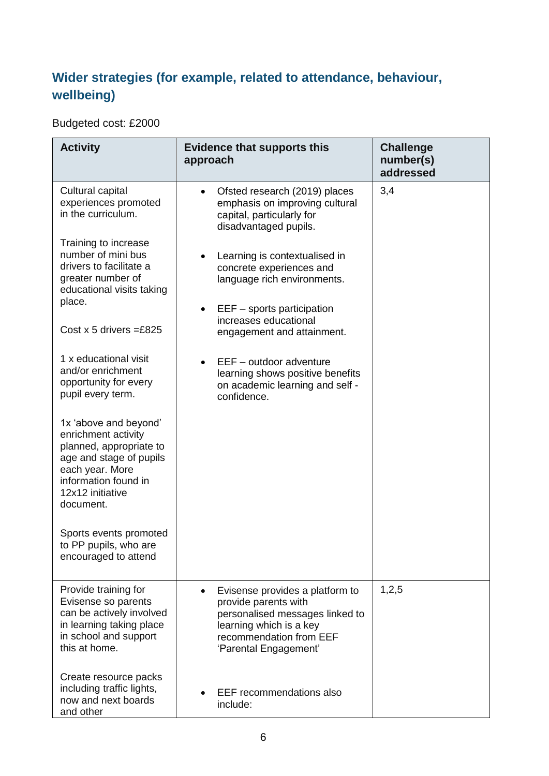### **Wider strategies (for example, related to attendance, behaviour, wellbeing)**

Budgeted cost: £2000

| <b>Activity</b>                                                                                                                                                                                                                                                                                                                                                                                                                                                                                                                                                                         | <b>Evidence that supports this</b><br>approach                                                                                                                                                                                                                                                                                                                                                                                           | <b>Challenge</b><br>number(s)<br>addressed |
|-----------------------------------------------------------------------------------------------------------------------------------------------------------------------------------------------------------------------------------------------------------------------------------------------------------------------------------------------------------------------------------------------------------------------------------------------------------------------------------------------------------------------------------------------------------------------------------------|------------------------------------------------------------------------------------------------------------------------------------------------------------------------------------------------------------------------------------------------------------------------------------------------------------------------------------------------------------------------------------------------------------------------------------------|--------------------------------------------|
| Cultural capital<br>experiences promoted<br>in the curriculum.<br>Training to increase<br>number of mini bus<br>drivers to facilitate a<br>greater number of<br>educational visits taking<br>place.<br>Cost x 5 drivers = £825<br>1 x educational visit<br>and/or enrichment<br>opportunity for every<br>pupil every term.<br>1x 'above and beyond'<br>enrichment activity<br>planned, appropriate to<br>age and stage of pupils<br>each year. More<br>information found in<br>12x12 initiative<br>document.<br>Sports events promoted<br>to PP pupils, who are<br>encouraged to attend | Ofsted research (2019) places<br>emphasis on improving cultural<br>capital, particularly for<br>disadvantaged pupils.<br>Learning is contextualised in<br>concrete experiences and<br>language rich environments.<br>$EEF -$ sports participation<br>increases educational<br>engagement and attainment.<br>$EEF - outdoor$ adventure<br>$\bullet$<br>learning shows positive benefits<br>on academic learning and self -<br>confidence. | 3,4                                        |
| Provide training for<br>Evisense so parents<br>can be actively involved<br>in learning taking place<br>in school and support<br>this at home.<br>Create resource packs<br>including traffic lights,<br>now and next boards<br>and other                                                                                                                                                                                                                                                                                                                                                 | Evisense provides a platform to<br>provide parents with<br>personalised messages linked to<br>learning which is a key<br>recommendation from EEF<br>'Parental Engagement'<br>EEF recommendations also<br>include:                                                                                                                                                                                                                        | 1,2,5                                      |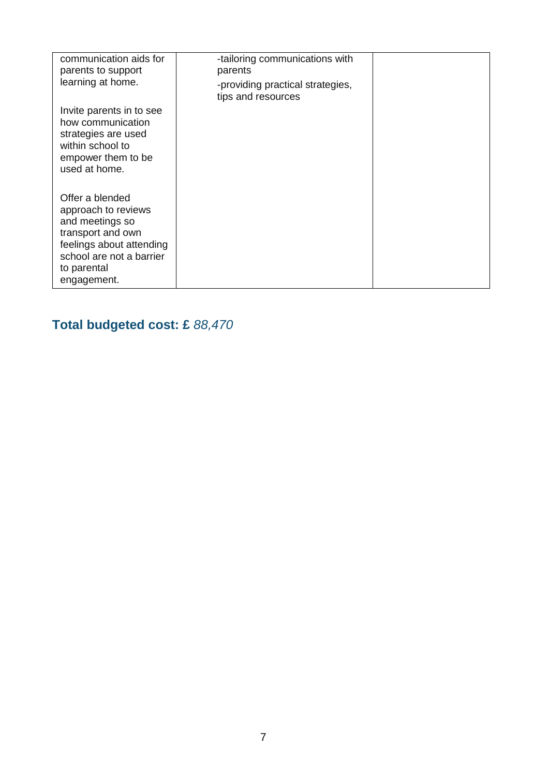| communication aids for<br>parents to support<br>learning at home.                                                                                                    | -tailoring communications with<br>parents<br>-providing practical strategies,<br>tips and resources |  |
|----------------------------------------------------------------------------------------------------------------------------------------------------------------------|-----------------------------------------------------------------------------------------------------|--|
| Invite parents in to see<br>how communication<br>strategies are used<br>within school to<br>empower them to be<br>used at home.                                      |                                                                                                     |  |
| Offer a blended<br>approach to reviews<br>and meetings so<br>transport and own<br>feelings about attending<br>school are not a barrier<br>to parental<br>engagement. |                                                                                                     |  |

# **Total budgeted cost: £** *88,470*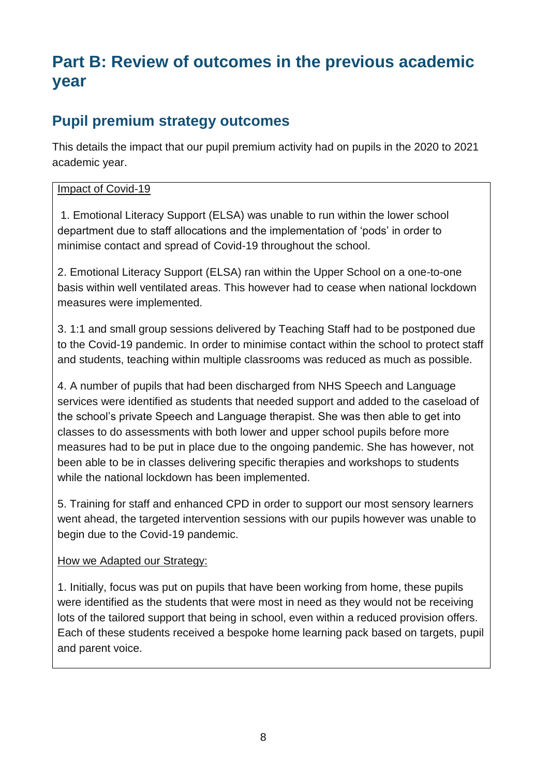## **Part B: Review of outcomes in the previous academic year**

## **Pupil premium strategy outcomes**

This details the impact that our pupil premium activity had on pupils in the 2020 to 2021 academic year.

#### Impact of Covid-19

1. Emotional Literacy Support (ELSA) was unable to run within the lower school department due to staff allocations and the implementation of 'pods' in order to minimise contact and spread of Covid-19 throughout the school.

2. Emotional Literacy Support (ELSA) ran within the Upper School on a one-to-one basis within well ventilated areas. This however had to cease when national lockdown measures were implemented.

3. 1:1 and small group sessions delivered by Teaching Staff had to be postponed due to the Covid-19 pandemic. In order to minimise contact within the school to protect staff and students, teaching within multiple classrooms was reduced as much as possible.

4. A number of pupils that had been discharged from NHS Speech and Language services were identified as students that needed support and added to the caseload of the school's private Speech and Language therapist. She was then able to get into classes to do assessments with both lower and upper school pupils before more measures had to be put in place due to the ongoing pandemic. She has however, not been able to be in classes delivering specific therapies and workshops to students while the national lockdown has been implemented.

5. Training for staff and enhanced CPD in order to support our most sensory learners went ahead, the targeted intervention sessions with our pupils however was unable to begin due to the Covid-19 pandemic.

#### How we Adapted our Strategy:

1. Initially, focus was put on pupils that have been working from home, these pupils were identified as the students that were most in need as they would not be receiving lots of the tailored support that being in school, even within a reduced provision offers. Each of these students received a bespoke home learning pack based on targets, pupil and parent voice.